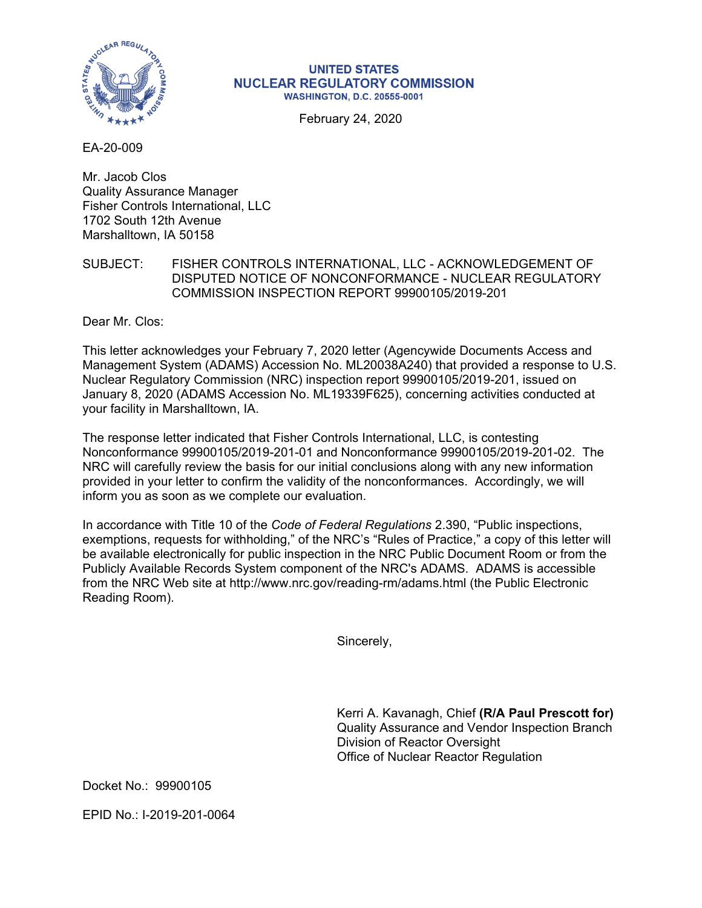

## **UNITED STATES NUCLEAR REGULATORY COMMISSION WASHINGTON, D.C. 20555-0001**

February 24, 2020

EA-20-009

Mr. Jacob Clos Quality Assurance Manager Fisher Controls International, LLC 1702 South 12th Avenue Marshalltown, IA 50158

## SUBJECT: FISHER CONTROLS INTERNATIONAL, LLC - ACKNOWLEDGEMENT OF DISPUTED NOTICE OF NONCONFORMANCE - NUCLEAR REGULATORY COMMISSION INSPECTION REPORT 99900105/2019-201

Dear Mr. Clos:

This letter acknowledges your February 7, 2020 letter (Agencywide Documents Access and Management System (ADAMS) Accession No. ML20038A240) that provided a response to U.S. Nuclear Regulatory Commission (NRC) inspection report 99900105/2019-201, issued on January 8, 2020 (ADAMS Accession No. ML19339F625), concerning activities conducted at your facility in Marshalltown, IA.

The response letter indicated that Fisher Controls International, LLC, is contesting Nonconformance 99900105/2019-201-01 and Nonconformance 99900105/2019-201-02. The NRC will carefully review the basis for our initial conclusions along with any new information provided in your letter to confirm the validity of the nonconformances. Accordingly, we will inform you as soon as we complete our evaluation.

In accordance with Title 10 of the *Code of Federal Regulations* 2.390, "Public inspections, exemptions, requests for withholding," of the NRC's "Rules of Practice," a copy of this letter will be available electronically for public inspection in the NRC Public Document Room or from the Publicly Available Records System component of the NRC's ADAMS. ADAMS is accessible from the NRC Web site at http://www.nrc.gov/reading-rm/adams.html (the Public Electronic Reading Room).

Sincerely,

Kerri A. Kavanagh, Chief **(R/A Paul Prescott for)** Quality Assurance and Vendor Inspection Branch Division of Reactor Oversight Office of Nuclear Reactor Regulation

Docket No.: 99900105

EPID No.: I-2019-201-0064